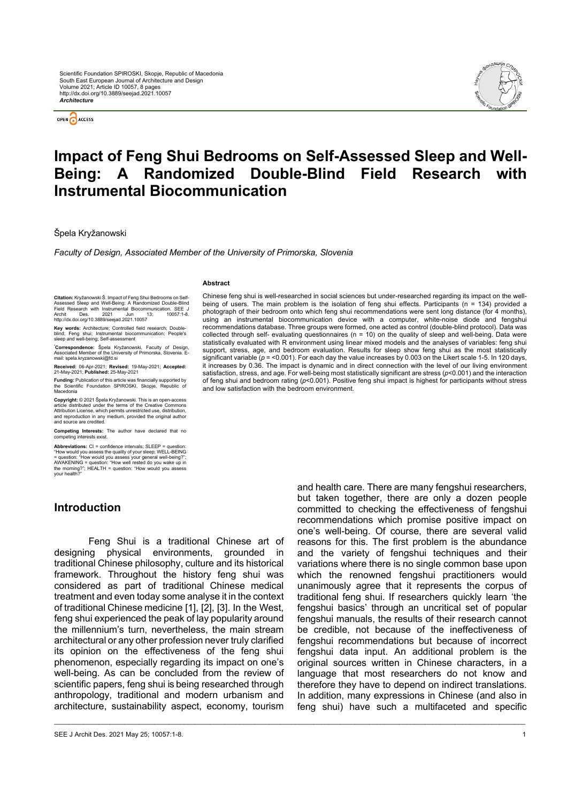OPEN CACCESS



# **Impact of Feng Shui Bedrooms on Self-Assessed Sleep and Well-Being: A Randomized Double-Blind Field Research with Instrumental Biocommunication**

\_\_\_\_\_\_\_\_\_\_\_\_\_\_\_\_\_\_\_\_\_\_\_\_\_\_\_\_\_\_\_\_\_\_\_\_\_\_\_\_\_\_\_\_\_\_\_\_\_\_\_\_\_\_\_\_\_\_\_\_\_\_\_\_\_\_\_\_\_\_\_\_\_\_\_\_\_\_\_\_\_\_\_\_\_\_\_\_\_\_\_\_\_\_\_\_\_\_\_\_\_\_\_\_\_\_\_\_\_\_\_\_\_\_\_\_\_\_\_\_\_\_\_\_\_\_\_

Špela Kryžanowski

*Faculty of Design, Associated Member of the University of Primorska, Slovenia*

#### **Abstract**

**Citation:** Kryžanowski Š. Impact of Feng Shui Bedrooms on Self-Assessed Sleep and Well-Being: A Randomized Double-Blind Field Research with Instrumental Biocommunication. SEE J Archit Des. 2021 Jun 13; 10057:1-8. http://dx.doi.org/10.3889/seejad.2021.10057

**Key words:** Architecture; Controlled field research; Doubleblind; Feng shui; Instrumental biocommunication; People's sleep and well-being; Self-assessment

**\* Correspondence:** Špela Kryžanowski, Faculty of Design, Associated Member of the University of Primorska, Slovenia. Email: spela.kryzanowski@fd.si

**Received:** 06-Apr-2021; **Revised:** 19-May-2021; **Accepted:** 21-May-2021; **Published:** 25-May-2021

**Funding:** Publication of this article was financially supported by the Scientific Foundation SPIROSKI, Skopje, Republic of Macedonia

**Copyright:** © 2021 Špela Kryžanowski. This is an open-access article distributed under the terms of the Creative Commons Attribution License, which permits unrestricted use, distribution, and reproduction in any medium, provided the original author and source are credited.

**Competing Interests:** The author have declared that no competing interests exist.

Abbreviations: CI = confidence intervals; SLEEP = question:<br>"How would you assess the quality of your sleep; WELL-BEING<br>= question: "How would you assess your general well-being?",<br>AWAKENING = question: "How well rested do

#### **Introduction**

Feng Shui is a traditional Chinese art of designing physical environments, grounded in traditional Chinese philosophy, culture and its historical framework. Throughout the history feng shui was considered as part of traditional Chinese medical treatment and even today some analyse it in the context of traditional Chinese medicine [1], [2], [3]. In the West, feng shui experienced the peak of lay popularity around the millennium's turn, nevertheless, the main stream architectural or any other profession never truly clarified its opinion on the effectiveness of the feng shui phenomenon, especially regarding its impact on one's well-being. As can be concluded from the review of scientific papers, feng shui is being researched through anthropology, traditional and modern urbanism and architecture, sustainability aspect, economy, tourism

Chinese feng shui is well-researched in social sciences but under-researched regarding its impact on the wellbeing of users. The main problem is the isolation of feng shui effects. Participants (n = 134) provided a photograph of their bedroom onto which feng shui recommendations were sent long distance (for 4 months), using an instrumental biocommunication device with a computer, white-noise diode and fengshui recommendations database. Three groups were formed, one acted as control (double-blind protocol). Data was collected through self- evaluating questionnaires ( $n = 10$ ) on the quality of sleep and well-being. Data were statistically evaluated with R environment using linear mixed models and the analyses of variables: feng shui support, stress, age, and bedroom evaluation. Results for sleep show feng shui as the most statistically significant variable ( $p =$ <0.001). For each day the value increases by 0.003 on the Likert scale 1-5. In 120 days, it increases by 0.36. The impact is dynamic and in direct connection with the level of our living environment satisfaction, stress, and age. For well-being most statistically significant are stress (*p*<0.001) and the interaction of feng shui and bedroom rating (*p*<0.001). Positive feng shui impact is highest for participants without stress and low satisfaction with the bedroom environment.

> and health care. There are many fengshui researchers, but taken together, there are only a dozen people committed to checking the effectiveness of fengshui recommendations which promise positive impact on one's well-being. Of course, there are several valid reasons for this. The first problem is the abundance and the variety of fengshui techniques and their variations where there is no single common base upon which the renowned fengshui practitioners would unanimously agree that it represents the corpus of traditional feng shui. If researchers quickly learn 'the fengshui basics' through an uncritical set of popular fengshui manuals, the results of their research cannot be credible, not because of the ineffectiveness of fengshui recommendations but because of incorrect fengshui data input. An additional problem is the original sources written in Chinese characters, in a language that most researchers do not know and therefore they have to depend on indirect translations. In addition, many expressions in Chinese (and also in feng shui) have such a multifaceted and specific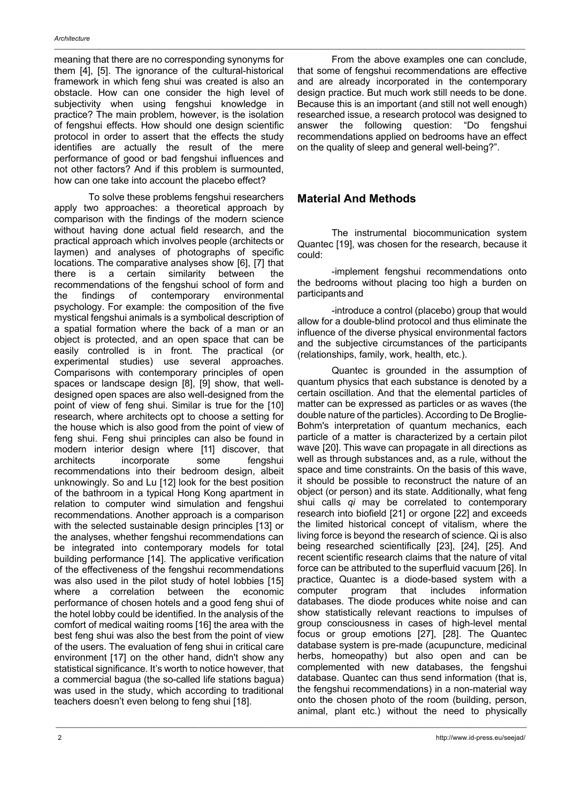meaning that there are no corresponding synonyms for them [4], [5]. The ignorance of the cultural-historical framework in which feng shui was created is also an obstacle. How can one consider the high level of subjectivity when using fengshui knowledge in practice? The main problem, however, is the isolation of fengshui effects. How should one design scientific protocol in order to assert that the effects the study identifies are actually the result of the mere performance of good or bad fengshui influences and not other factors? And if this problem is surmounted, how can one take into account the placebo effect?

To solve these problems fengshui researchers apply two approaches: a theoretical approach by comparison with the findings of the modern science without having done actual field research, and the practical approach which involves people (architects or laymen) and analyses of photographs of specific locations. The comparative analyses show [6], [7] that there is a certain similarity between the recommendations of the fengshui school of form and the findings of contemporary environmental psychology. For example: the composition of the five mystical fengshui animals is a symbolical description of a spatial formation where the back of a man or an object is protected, and an open space that can be easily controlled is in front. The practical (or experimental studies) use several approaches. Comparisons with contemporary principles of open spaces or landscape design [8], [9] show, that welldesigned open spaces are also well-designed from the point of view of feng shui. Similar is true for the [10] research, where architects opt to choose a setting for the house which is also good from the point of view of feng shui. Feng shui principles can also be found in modern interior design where [11] discover, that architects incorporate some fengshui recommendations into their bedroom design, albeit unknowingly. So and Lu [12] look for the best position of the bathroom in a typical Hong Kong apartment in relation to computer wind simulation and fengshui recommendations. Another approach is a comparison with the selected sustainable design principles [13] or the analyses, whether fengshui recommendations can be integrated into contemporary models for total building performance [14]. The applicative verification of the effectiveness of the fengshui recommendations was also used in the pilot study of hotel lobbies [15] where a correlation between the economic performance of chosen hotels and a good feng shui of the hotel lobby could be identified. In the analysis of the comfort of medical waiting rooms [16] the area with the best feng shui was also the best from the point of view of the users. The evaluation of feng shui in critical care environment [17] on the other hand, didn't show any statistical significance. It's worth to notice however, that a commercial bagua (the so-called life stations bagua) was used in the study, which according to traditional teachers doesn't even belong to feng shui [18].

From the above examples one can conclude, that some of fengshui recommendations are effective and are already incorporated in the contemporary design practice. But much work still needs to be done. Because this is an important (and still not well enough) researched issue, a research protocol was designed to answer the following question: "Do fengshui recommendations applied on bedrooms have an effect on the quality of sleep and general well-being?".

# **Material And Methods**

The instrumental biocommunication system Quantec [19], was chosen for the research, because it could:

-implement fengshui recommendations onto the bedrooms without placing too high a burden on participantsand

-introduce a control (placebo) group that would allow for a double-blind protocol and thus eliminate the influence of the diverse physical environmental factors and the subjective circumstances of the participants (relationships, family, work, health, etc.).

Quantec is grounded in the assumption of quantum physics that each substance is denoted by a certain oscillation. And that the elemental particles of matter can be expressed as particles or as waves (the double nature of the particles). According to De Broglie-Bohm's interpretation of quantum mechanics, each particle of a matter is characterized by a certain pilot wave [20]. This wave can propagate in all directions as well as through substances and, as a rule, without the space and time constraints. On the basis of this wave, it should be possible to reconstruct the nature of an object (or person) and its state. Additionally, what feng shui calls *qi* may be correlated to contemporary research into biofield [21] or orgone [22] and exceeds the limited historical concept of vitalism, where the living force is beyond the research of science. Qi is also being researched scientifically [23], [24], [25]. And recent scientific research claims that the nature of vital force can be attributed to the superfluid vacuum [26]. In practice, Quantec is a diode-based system with a computer program that includes information databases. The diode produces white noise and can show statistically relevant reactions to impulses of group consciousness in cases of high-level mental focus or group emotions [27], [28]. The Quantec database system is pre-made (acupuncture, medicinal herbs, homeopathy) but also open and can be complemented with new databases, the fengshui database. Quantec can thus send information (that is, the fengshui recommendations) in a non-material way onto the chosen photo of the room (building, person, animal, plant etc.) without the need to physically

\_\_\_\_\_\_\_\_\_\_\_\_\_\_\_\_\_\_\_\_\_\_\_\_\_\_\_\_\_\_\_\_\_\_\_\_\_\_\_\_\_\_\_\_\_\_\_\_\_\_\_\_\_\_\_\_\_\_\_\_\_\_\_\_\_\_\_\_\_\_\_\_\_\_\_\_\_\_\_\_\_\_\_\_\_\_\_\_\_\_\_\_\_\_\_\_\_\_\_\_\_\_\_\_\_\_\_\_\_\_\_\_\_\_\_\_\_\_\_\_\_\_\_\_\_\_\_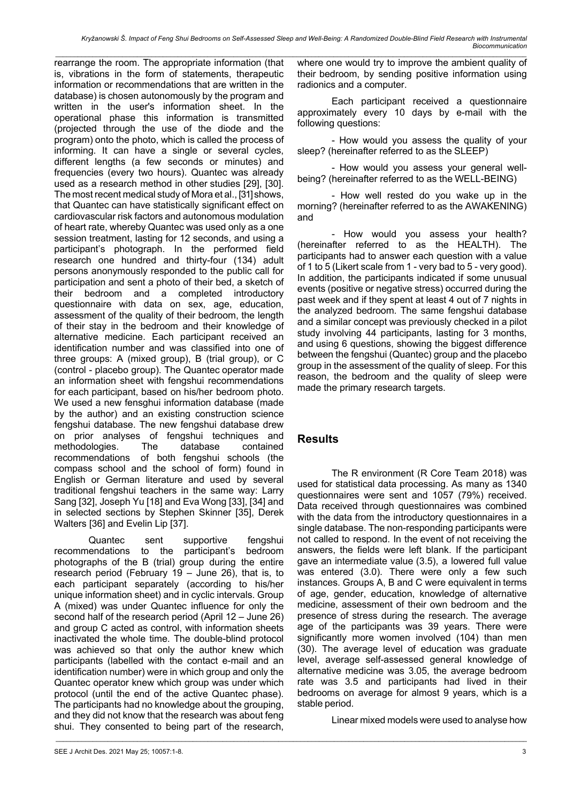*\_\_\_\_\_\_\_\_\_\_\_\_\_\_\_\_\_\_\_\_\_\_\_\_\_\_\_\_\_\_\_\_\_\_\_\_\_\_\_\_\_\_\_\_\_\_\_\_\_\_\_\_\_\_\_\_\_\_\_\_\_\_\_\_\_\_\_\_\_\_\_\_\_\_\_\_\_\_\_\_\_\_\_\_\_\_\_\_\_\_\_\_\_\_\_\_\_\_\_\_\_\_\_\_\_\_\_\_\_\_\_\_\_\_\_\_\_\_\_\_\_\_\_\_\_\_\_* rearrange the room. The appropriate information (that is, vibrations in the form of statements, therapeutic information or recommendations that are written in the database) is chosen autonomously by the program and written in the user's information sheet. In the operational phase this information is transmitted (projected through the use of the diode and the program) onto the photo, which is called the process of informing. It can have a single or several cycles, different lengths (a few seconds or minutes) and frequencies (every two hours). Quantec was already used as a research method in other studies [29], [30]. The most recent medical study of Mora et al., [31] shows, that Quantec can have statistically significant effect on cardiovascular risk factors and autonomous modulation of heart rate, whereby Quantec was used only as a one session treatment, lasting for 12 seconds, and using a participant's photograph. In the performed field research one hundred and thirty-four (134) adult persons anonymously responded to the public call for participation and sent a photo of their bed, a sketch of their bedroom and a completed introductory questionnaire with data on sex, age, education, assessment of the quality of their bedroom, the length of their stay in the bedroom and their knowledge of alternative medicine. Each participant received an identification number and was classified into one of three groups: A (mixed group), B (trial group), or C (control - placebo group). The Quantec operator made an information sheet with fengshui recommendations for each participant, based on his/her bedroom photo. We used a new fensghui information database (made by the author) and an existing construction science fengshui database. The new fengshui database drew on prior analyses of fengshui techniques and methodologies. The database contained recommendations of both fengshui schools (the compass school and the school of form) found in English or German literature and used by several traditional fengshui teachers in the same way: Larry Sang [32], Joseph Yu [18] and Eva Wong [33], [34] and in selected sections by Stephen Skinner [35], Derek Walters [36] and Evelin Lip [37].

Quantec sent supportive fengshui recommendations to the participant's bedroom photographs of the B (trial) group during the entire research period (February 19 – June 26), that is, to each participant separately (according to his/her unique information sheet) and in cyclic intervals. Group A (mixed) was under Quantec influence for only the second half of the research period (April 12 – June 26) and group C acted as control, with information sheets inactivated the whole time. The double-blind protocol was achieved so that only the author knew which participants (labelled with the contact e-mail and an identification number) were in which group and only the Quantec operator knew which group was under which protocol (until the end of the active Quantec phase). The participants had no knowledge about the grouping, and they did not know that the research was about feng shui. They consented to being part of the research, where one would try to improve the ambient quality of their bedroom, by sending positive information using radionics and a computer.

Each participant received a questionnaire approximately every 10 days by e-mail with the following questions:

- How would you assess the quality of your sleep? (hereinafter referred to as the SLEEP)

- How would you assess your general wellbeing? (hereinafter referred to as the WELL-BEING)

- How well rested do you wake up in the morning? (hereinafter referred to as the AWAKENING) and

- How would you assess your health? (hereinafter referred to as the HEALTH). The participants had to answer each question with a value of 1 to 5 (Likert scale from 1 - very bad to 5 - very good). In addition, the participants indicated if some unusual events (positive or negative stress) occurred during the past week and if they spent at least 4 out of 7 nights in the analyzed bedroom. The same fengshui database and a similar concept was previously checked in a pilot study involving 44 participants, lasting for 3 months, and using 6 questions, showing the biggest difference between the fengshui (Quantec) group and the placebo group in the assessment of the quality of sleep. For this reason, the bedroom and the quality of sleep were made the primary research targets.

### **Results**

 $\mathcal{L}_\mathcal{L} = \{ \mathcal{L}_\mathcal{L} = \{ \mathcal{L}_\mathcal{L} = \{ \mathcal{L}_\mathcal{L} = \{ \mathcal{L}_\mathcal{L} = \{ \mathcal{L}_\mathcal{L} = \{ \mathcal{L}_\mathcal{L} = \{ \mathcal{L}_\mathcal{L} = \{ \mathcal{L}_\mathcal{L} = \{ \mathcal{L}_\mathcal{L} = \{ \mathcal{L}_\mathcal{L} = \{ \mathcal{L}_\mathcal{L} = \{ \mathcal{L}_\mathcal{L} = \{ \mathcal{L}_\mathcal{L} = \{ \mathcal{L}_\mathcal{$ 

The R environment (R Core Team 2018) was used for statistical data processing. As many as 1340 questionnaires were sent and 1057 (79%) received. Data received through questionnaires was combined with the data from the introductory questionnaires in a single database. The non-responding participants were not called to respond. In the event of not receiving the answers, the fields were left blank. If the participant gave an intermediate value (3.5), a lowered full value was entered (3.0). There were only a few such instances. Groups A, B and C were equivalent in terms of age, gender, education, knowledge of alternative medicine, assessment of their own bedroom and the presence of stress during the research. The average age of the participants was 39 years. There were significantly more women involved (104) than men (30). The average level of education was graduate level, average self-assessed general knowledge of alternative medicine was 3.05, the average bedroom rate was 3.5 and participants had lived in their bedrooms on average for almost 9 years, which is a stable period.

Linear mixed models were used to analyse how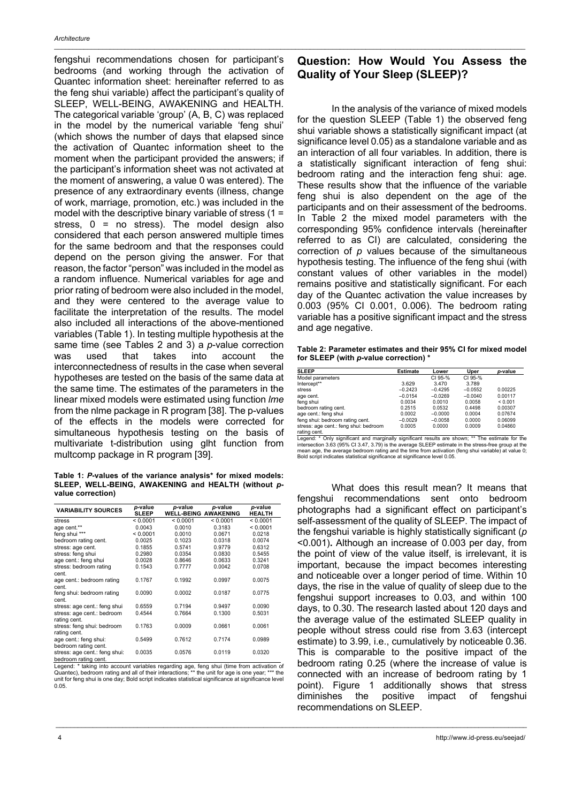fengshui recommendations chosen for participant's bedrooms (and working through the activation of Quantec information sheet: hereinafter referred to as the feng shui variable) affect the participant's quality of SLEEP, WELL-BEING, AWAKENING and HEALTH. The categorical variable 'group' (A, B, C) was replaced in the model by the numerical variable 'feng shui' (which shows the number of days that elapsed since the activation of Quantec information sheet to the moment when the participant provided the answers; if the participant's information sheet was not activated at the moment of answering, a value 0 was entered). The presence of any extraordinary events (illness, change of work, marriage, promotion, etc.) was included in the model with the descriptive binary variable of stress (1 = stress,  $0 = no$  stress). The model design also considered that each person answered multiple times for the same bedroom and that the responses could depend on the person giving the answer. For that reason, the factor "person" was included in the model as a random influence. Numerical variables for age and prior rating of bedroom were also included in the model, and they were centered to the average value to facilitate the interpretation of the results. The model also included all interactions of the above-mentioned variables (Table 1). In testing multiple hypothesis at the same time (see Tables 2 and 3) a *p*-value correction was used that takes into account the interconnectedness of results in the case when several hypotheses are tested on the basis of the same data at the same time. The estimates of the parameters in the linear mixed models were estimated using function *lme*  from the nlme package in R program [38]. The p-values of the effects in the models were corrected for simultaneous hypothesis testing on the basis of multivariate t-distribution using glht function from multcomp package in R program [39].

**Table 1:** *P***-values of the variance analysis\* for mixed models: SLEEP, WELL-BEING, AWAKENING and HEALTH (without** *p***value correction)**

| <b>VARIABILITY SOURCES</b>                            | p-value<br><b>SLEEP</b> | p-value<br><b>WELL-BEING AWAKENING</b> | p-value  | p-value<br><b>HEALTH</b> |
|-------------------------------------------------------|-------------------------|----------------------------------------|----------|--------------------------|
| stress                                                | < 0.0001                | < 0.0001                               | < 0.0001 | < 0.0001                 |
| age cent.**                                           | 0.0043                  | 0.0010                                 | 0.3183   | < 0.0001                 |
| feng shui ***                                         | < 0.0001                | 0.0010                                 | 0.0671   | 0.0218                   |
| bedroom rating cent.                                  | 0.0025                  | 0.1023                                 | 0.0318   | 0.0074                   |
| stress: age cent.                                     | 0.1855                  | 0.5741                                 | 0.9779   | 0.6312                   |
| stress: feng shui                                     | 0.2980                  | 0.0354                                 | 0.0830   | 0.5455                   |
| age cent.: feng shui                                  | 0.0028                  | 0.8646                                 | 0.0633   | 0.3241                   |
| stress: bedroom rating<br>cent.                       | 0.1543                  | 0.7777                                 | 0.0042   | 0.0708                   |
| age cent.: bedroom rating<br>cent.                    | 0.1767                  | 0.1992                                 | 0.0997   | 0.0075                   |
| feng shui: bedroom rating<br>cent.                    | 0.0090                  | 0.0002                                 | 0.0187   | 0.0775                   |
| stress: age cent.: feng shui                          | 0.6559                  | 0.7194                                 | 0.9497   | 0.0090                   |
| stress: age cent.: bedroom<br>rating cent.            | 0.4544                  | 0.7664                                 | 0.1300   | 0.5031                   |
| stress: feng shui: bedroom<br>rating cent.            | 0.1763                  | 0.0009                                 | 0.0661   | 0.0061                   |
| age cent.: feng shui:<br>bedroom rating cent.         | 0.5499                  | 0.7612                                 | 0.7174   | 0.0989                   |
| stress: age cent.: feng shui:<br>bedroom rating cent. | 0.0035                  | 0.0576                                 | 0.0119   | 0.0320                   |

bedroom rating cent.<br>Legend: \* taking into account variables regarding age, feng shui (time from activation of<br>Quantec), bedroom rating and all of their interactions; \*\* the unit for age is one year; \*\*\* the unit for feng shui is one day; Bold script indicates statistical significance at significance level 0.05.

\_\_\_\_\_\_\_\_\_\_\_\_\_\_\_\_\_\_\_\_\_\_\_\_\_\_\_\_\_\_\_\_\_\_\_\_\_\_\_\_\_\_\_\_\_\_\_\_\_\_\_\_\_\_\_\_\_\_\_\_\_\_\_\_\_\_\_\_\_\_\_\_\_\_\_\_\_\_\_\_\_\_\_\_\_\_\_\_\_\_\_\_\_\_\_\_\_\_\_\_\_\_\_\_\_\_\_\_\_\_\_\_\_\_\_\_\_\_\_\_\_\_\_\_\_\_\_

#### **Question: How Would You Assess the Quality of Your Sleep (SLEEP)?**

In the analysis of the variance of mixed models for the question SLEEP (Table 1) the observed feng shui variable shows a statistically significant impact (at significance level 0.05) as a standalone variable and as an interaction of all four variables. In addition, there is a statistically significant interaction of feng shui: bedroom rating and the interaction feng shui: age. These results show that the influence of the variable feng shui is also dependent on the age of the participants and on their assessment of the bedrooms. In Table 2 the mixed model parameters with the corresponding 95% confidence intervals (hereinafter referred to as CI) are calculated, considering the correction of *p* values because of the simultaneous hypothesis testing. The influence of the feng shui (with constant values of other variables in the model) remains positive and statistically significant. For each day of the Quantec activation the value increases by 0.003 (95% CI 0.001, 0.006). The bedroom rating variable has a positive significant impact and the stress and age negative.

**Table 2: Parameter estimates and their 95% CI for mixed model for SLEEP (with** *p***-value correction) \***

| <b>SLEEP</b>                                         | <b>Estimate</b> | Lower     | Uper      | <i>p</i> -value |
|------------------------------------------------------|-----------------|-----------|-----------|-----------------|
| Model parameters                                     |                 | CI 95-%   | CI 95-%   |                 |
| Intercept**                                          | 3.629           | 3.470     | 3.789     |                 |
| stress                                               | $-0.2423$       | $-0.4295$ | $-0.0552$ | 0.00225         |
| age cent.                                            | $-0.0154$       | $-0.0269$ | $-0.0040$ | 0.00117         |
| feng shui                                            | 0.0034          | 0.0010    | 0.0058    | ${}_{0.001}$    |
| bedroom rating cent.                                 | 0.2515          | 0.0532    | 0.4498    | 0.00307         |
| age cent.: feng shui                                 | 0.0002          | $-0.0000$ | 0.0004    | 0.07674         |
| feng shui: bedroom rating cent.                      | $-0.0029$       | $-0.0058$ | 0.0000    | 0.06099         |
| stress: age cent.: feng shui: bedroom<br>rating cent | 0.0005          | 0.0000    | 0.0009    | 0.04860         |

rating cent. Legend: \* Only significant and marginally significant results are shown; \*\* The estimate for the intersection 3.63 (95% CI 3.47, 3.79) is the average SLEEP estimate in the stress-free group at the mean age, the average bedroom rating and the time from activation (feng shui variable) at value 0; Bold script indicates statistical significance at significance level 0.05.

What does this result mean? It means that fengshui recommendations sent onto bedroom photographs had a significant effect on participant's self-assessment of the quality of SLEEP. The impact of the fengshui variable is highly statistically significant (*p*  <0.001)**.** Although an increase of 0.003 per day, from the point of view of the value itself, is irrelevant, it is important, because the impact becomes interesting and noticeable over a longer period of time. Within 10 days, the rise in the value of quality of sleep due to the fengshui support increases to 0.03, and within 100 days, to 0.30. The research lasted about 120 days and the average value of the estimated SLEEP quality in people without stress could rise from 3.63 (intercept estimate) to 3.99, i.e., cumulatively by noticeable 0.36. This is comparable to the positive impact of the bedroom rating 0.25 (where the increase of value is connected with an increase of bedroom rating by 1 point). Figure 1 additionally shows that stress diminishes the positive impact of fengshui recommendations on SLEEP.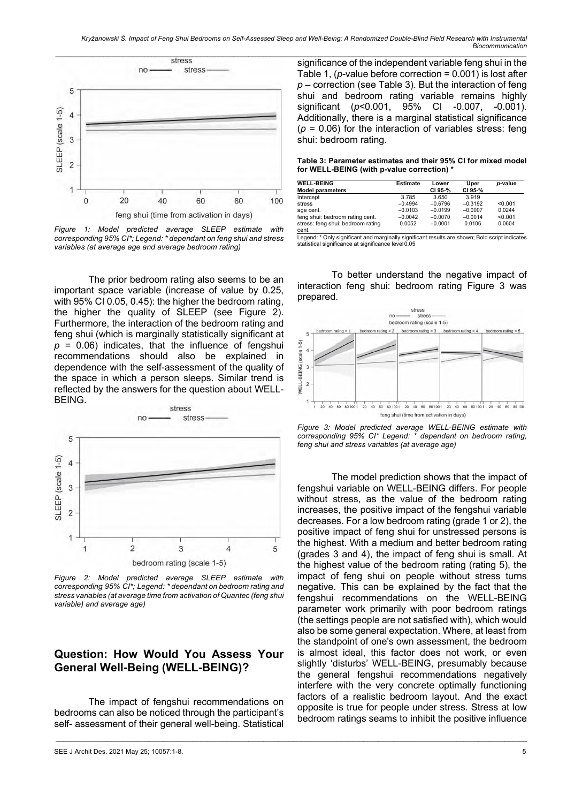

*Figure 1: Model predicted average SLEEP estimate with corresponding 95% CI\*; Legend: \* dependant on feng shui and stress variables (at average age and average bedroom rating)*

The prior bedroom rating also seems to be an important space variable (increase of value by 0.25, with 95% CI 0.05, 0.45): the higher the bedroom rating, the higher the quality of SLEEP (see Figure 2). Furthermore, the interaction of the bedroom rating and feng shui (which is marginally statistically significant at *p* = 0.06) indicates, that the influence of fengshui recommendations should also be explained in dependence with the self-assessment of the quality of the space in which a person sleeps. Similar trend is reflected by the answers for the question about WELL-BEING.



*Figure 2: Model predicted average SLEEP estimate with corresponding 95% CI\*; Legend: \* dependant on bedroom rating and stress variables (at average time from activation of Quantec (feng shui variable) and average age)*

#### **Question: How Would You Assess Your General Well-Being (WELL-BEING)?**

The impact of fengshui recommendations on bedrooms can also be noticed through the participant's self- assessment of their general well-being. Statistical

 $\mathcal{L}_\mathcal{L} = \{ \mathcal{L}_\mathcal{L} = \{ \mathcal{L}_\mathcal{L} = \{ \mathcal{L}_\mathcal{L} = \{ \mathcal{L}_\mathcal{L} = \{ \mathcal{L}_\mathcal{L} = \{ \mathcal{L}_\mathcal{L} = \{ \mathcal{L}_\mathcal{L} = \{ \mathcal{L}_\mathcal{L} = \{ \mathcal{L}_\mathcal{L} = \{ \mathcal{L}_\mathcal{L} = \{ \mathcal{L}_\mathcal{L} = \{ \mathcal{L}_\mathcal{L} = \{ \mathcal{L}_\mathcal{L} = \{ \mathcal{L}_\mathcal{$ 

SEE J Archit Des. 2021 May 25; 10057:1-8. 5

significance of the independent variable feng shui in the Table 1, (*p-*value before correction = 0.001) is lost after *p* – correction (see Table 3). But the interaction of feng shui and bedroom rating variable remains highly significant (*p*<0.001, 95% CI -0.007, -0.001). Additionally, there is a marginal statistical significance (*p* = 0.06) for the interaction of variables stress: feng shui: bedroom rating.

**Table 3: Parameter estimates and their 95% CI for mixed model for WELL-BEING (with p-value correction) \***

| <b>WELL-BEING</b>                          | <b>Estimate</b> | Lower     | Uper      | p-value |
|--------------------------------------------|-----------------|-----------|-----------|---------|
| <b>Model parameters</b>                    |                 | CI 95-%   | CI 95-%   |         |
| Intercept                                  | 3.785           | 3.650     | 3.919     |         |
| stress                                     | $-0.4994$       | $-0.6796$ | $-0.3192$ | < 0.001 |
| age cent.                                  | $-0.0103$       | $-0.0199$ | $-0.0007$ | 0.0244  |
| feng shui: bedroom rating cent.            | $-0.0042$       | $-0.0070$ | $-0.0014$ | < 0.001 |
| stress: feng shui: bedroom rating<br>cent. | 0.0052          | $-0.0001$ | 0.0106    | 0.0604  |

Legend: \* Only significant and marginally significant results are shown; Bold script indicates statistical significance at significance level0.05

To better understand the negative impact of interaction feng shui: bedroom rating Figure 3 was prepared.



*Figure 3: Model predicted average WELL-BEING estimate with corresponding 95% CI\* Legend: \* dependant on bedroom rating, feng shui and stress variables (at average age)*

The model prediction shows that the impact of fengshui variable on WELL-BEING differs. For people without stress, as the value of the bedroom rating increases, the positive impact of the fengshui variable decreases. For a low bedroom rating (grade 1 or 2), the positive impact of feng shui for unstressed persons is the highest. With a medium and better bedroom rating (grades 3 and 4), the impact of feng shui is small. At the highest value of the bedroom rating (rating 5), the impact of feng shui on people without stress turns negative. This can be explained by the fact that the fengshui recommendations on the WELL-BEING parameter work primarily with poor bedroom ratings (the settings people are not satisfied with), which would also be some general expectation. Where, at least from the standpoint of one's own assessment, the bedroom is almost ideal, this factor does not work, or even slightly 'disturbs' WELL-BEING, presumably because the general fengshui recommendations negatively interfere with the very concrete optimally functioning factors of a realistic bedroom layout. And the exact opposite is true for people under stress. Stress at low bedroom ratings seams to inhibit the positive influence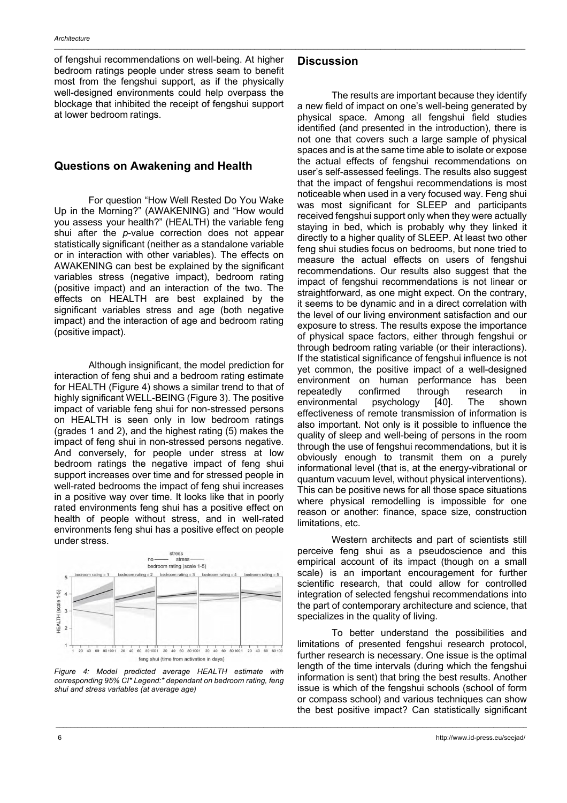of fengshui recommendations on well-being. At higher bedroom ratings people under stress seam to benefit most from the fengshui support, as if the physically well-designed environments could help overpass the blockage that inhibited the receipt of fengshui support at lower bedroom ratings.

#### **Questions on Awakening and Health**

For question "How Well Rested Do You Wake Up in the Morning?" (AWAKENING) and "How would you assess your health?" (HEALTH) the variable feng shui after the *p*-value correction does not appear statistically significant (neither as a standalone variable or in interaction with other variables). The effects on AWAKENING can best be explained by the significant variables stress (negative impact), bedroom rating (positive impact) and an interaction of the two. The effects on HEALTH are best explained by the significant variables stress and age (both negative impact) and the interaction of age and bedroom rating (positive impact).

Although insignificant, the model prediction for interaction of feng shui and a bedroom rating estimate for HEALTH (Figure 4) shows a similar trend to that of highly significant WELL-BEING (Figure 3). The positive impact of variable feng shui for non-stressed persons on HEALTH is seen only in low bedroom ratings (grades 1 and 2), and the highest rating (5) makes the impact of feng shui in non-stressed persons negative. And conversely, for people under stress at low bedroom ratings the negative impact of feng shui support increases over time and for stressed people in well-rated bedrooms the impact of feng shui increases in a positive way over time. It looks like that in poorly rated environments feng shui has a positive effect on health of people without stress, and in well-rated environments feng shui has a positive effect on people under stress.



*Figure 4: Model predicted average HEALTH estimate with corresponding 95% CI\* Legend:\* dependant on bedroom rating, feng shui and stress variables (at average age)*

\_\_\_\_\_\_\_\_\_\_\_\_\_\_\_\_\_\_\_\_\_\_\_\_\_\_\_\_\_\_\_\_\_\_\_\_\_\_\_\_\_\_\_\_\_\_\_\_\_\_\_\_\_\_\_\_\_\_\_\_\_\_\_\_\_\_\_\_\_\_\_\_\_\_\_\_\_\_\_\_\_\_\_\_\_\_\_\_\_\_\_\_\_\_\_\_\_\_\_\_\_\_\_\_\_\_\_\_\_\_\_\_\_\_\_\_\_\_\_\_\_\_\_\_\_\_\_

#### **Discussion**

The results are important because they identify a new field of impact on one's well-being generated by physical space. Among all fengshui field studies identified (and presented in the introduction), there is not one that covers such a large sample of physical spaces and is at the same time able to isolate or expose the actual effects of fengshui recommendations on user's self-assessed feelings. The results also suggest that the impact of fengshui recommendations is most noticeable when used in a very focused way. Feng shui was most significant for SLEEP and participants received fengshui support only when they were actually staying in bed, which is probably why they linked it directly to a higher quality of SLEEP. At least two other feng shui studies focus on bedrooms, but none tried to measure the actual effects on users of fengshui recommendations. Our results also suggest that the impact of fengshui recommendations is not linear or straightforward, as one might expect. On the contrary, it seems to be dynamic and in a direct correlation with the level of our living environment satisfaction and our exposure to stress. The results expose the importance of physical space factors, either through fengshui or through bedroom rating variable (or their interactions). If the statistical significance of fengshui influence is not yet common, the positive impact of a well-designed environment on human performance has been repeatedly confirmed through research in environmental psychology [40]. The shown effectiveness of remote transmission of information is also important. Not only is it possible to influence the quality of sleep and well-being of persons in the room through the use of fengshui recommendations, but it is obviously enough to transmit them on a purely informational level (that is, at the energy-vibrational or quantum vacuum level, without physical interventions). This can be positive news for all those space situations where physical remodelling is impossible for one reason or another: finance, space size, construction limitations, etc.

Western architects and part of scientists still perceive feng shui as a pseudoscience and this empirical account of its impact (though on a small scale) is an important encouragement for further scientific research, that could allow for controlled integration of selected fengshui recommendations into the part of contemporary architecture and science, that specializes in the quality of living.

To better understand the possibilities and limitations of presented fengshui research protocol, further research is necessary. One issue is the optimal length of the time intervals (during which the fengshui information is sent) that bring the best results. Another issue is which of the fengshui schools (school of form or compass school) and various techniques can show the best positive impact? Can statistically significant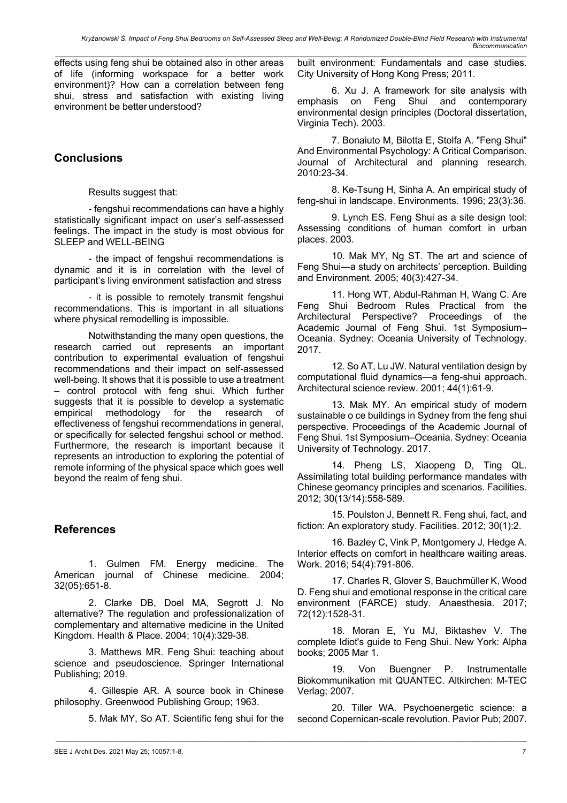effects using feng shui be obtained also in other areas of life (informing workspace for a better work environment)? How can a correlation between feng shui, stress and satisfaction with existing living environment be better understood?

# **Conclusions**

Results suggest that:

- fengshui recommendations can have a highly statistically significant impact on user's self-assessed feelings. The impact in the study is most obvious for SLEEP and WELL-BEING

- the impact of fengshui recommendations is dynamic and it is in correlation with the level of participant's living environment satisfaction and stress

- it is possible to remotely transmit fengshui recommendations. This is important in all situations where physical remodelling is impossible.

Notwithstanding the many open questions, the research carried out represents an important contribution to experimental evaluation of fengshui recommendations and their impact on self-assessed well-being. It shows that it is possible to use a treatment – control protocol with feng shui. Which further suggests that it is possible to develop a systematic empirical methodology for the research of effectiveness of fengshui recommendations in general, or specifically for selected fengshui school or method. Furthermore, the research is important because it represents an introduction to exploring the potential of remote informing of the physical space which goes well beyond the realm of feng shui.

## **References**

1. Gulmen FM. Energy medicine. The American journal of Chinese medicine. 2004; 32(05):651-8.

2. Clarke DB, Doel MA, Segrott J. No alternative? The regulation and professionalization of complementary and alternative medicine in the United Kingdom. Health & Place. 2004; 10(4):329-38.

3. Matthews MR. Feng Shui: teaching about science and pseudoscience. Springer International Publishing; 2019.

4. Gillespie AR. A source book in Chinese philosophy. Greenwood Publishing Group; 1963.

5. Mak MY, So AT. Scientific feng shui for the

 $\mathcal{L}_\mathcal{L} = \{ \mathcal{L}_\mathcal{L} = \{ \mathcal{L}_\mathcal{L} = \{ \mathcal{L}_\mathcal{L} = \{ \mathcal{L}_\mathcal{L} = \{ \mathcal{L}_\mathcal{L} = \{ \mathcal{L}_\mathcal{L} = \{ \mathcal{L}_\mathcal{L} = \{ \mathcal{L}_\mathcal{L} = \{ \mathcal{L}_\mathcal{L} = \{ \mathcal{L}_\mathcal{L} = \{ \mathcal{L}_\mathcal{L} = \{ \mathcal{L}_\mathcal{L} = \{ \mathcal{L}_\mathcal{L} = \{ \mathcal{L}_\mathcal{$ 

*\_\_\_\_\_\_\_\_\_\_\_\_\_\_\_\_\_\_\_\_\_\_\_\_\_\_\_\_\_\_\_\_\_\_\_\_\_\_\_\_\_\_\_\_\_\_\_\_\_\_\_\_\_\_\_\_\_\_\_\_\_\_\_\_\_\_\_\_\_\_\_\_\_\_\_\_\_\_\_\_\_\_\_\_\_\_\_\_\_\_\_\_\_\_\_\_\_\_\_\_\_\_\_\_\_\_\_\_\_\_\_\_\_\_\_\_\_\_\_\_\_\_\_\_\_\_\_* built environment: Fundamentals and case studies. City University of Hong Kong Press; 2011.

> 6. Xu J. A framework for site analysis with emphasis on Feng Shui and contemporary environmental design principles (Doctoral dissertation, Virginia Tech). 2003.

> 7. Bonaiuto M, Bilotta E, Stolfa A. "Feng Shui" And Environmental Psychology: A Critical Comparison. Journal of Architectural and planning research. 2010:23-34.

> 8. Ke-Tsung H, Sinha A. An empirical study of feng-shui in landscape. Environments. 1996; 23(3):36.

> 9. Lynch ES. Feng Shui as a site design tool: Assessing conditions of human comfort in urban places. 2003.

> 10. Mak MY, Ng ST. The art and science of Feng Shui—a study on architects' perception. Building and Environment. 2005; 40(3):427-34.

> 11. Hong WT, Abdul-Rahman H, Wang C. Are Feng Shui Bedroom Rules Practical from the Architectural Perspective? Proceedings of the Academic Journal of Feng Shui. 1st Symposium– Oceania. Sydney: Oceania University of Technology. 2017.

> 12. So AT, Lu JW. Natural ventilation design by computational fluid dynamics—a feng-shui approach. Architectural science review. 2001; 44(1):61-9.

> 13. Mak MY. An empirical study of modern sustainable o ce buildings in Sydney from the feng shui perspective. Proceedings of the Academic Journal of Feng Shui. 1st Symposium–Oceania. Sydney: Oceania University of Technology. 2017.

> 14. Pheng LS, Xiaopeng D, Ting QL. Assimilating total building performance mandates with Chinese geomancy principles and scenarios. Facilities. 2012; 30(13/14):558-589.

> 15. Poulston J, Bennett R. Feng shui, fact, and fiction: An exploratory study. Facilities. 2012; 30(1):2.

> 16. Bazley C, Vink P, Montgomery J, Hedge A. Interior effects on comfort in healthcare waiting areas. Work. 2016; 54(4):791-806.

> 17. Charles R, Glover S, Bauchmüller K, Wood D. Feng shui and emotional response in the critical care environment (FARCE) study. Anaesthesia. 2017; 72(12):1528-31.

> 18. Moran E, Yu MJ, Biktashev V. The complete Idiot's guide to Feng Shui. New York: Alpha books; 2005 Mar 1.

> 19. Von Buengner P. Instrumentalle Biokommunikation mit QUANTEC. Altkirchen: M-TEC Verlag; 2007.

> 20. Tiller WA. Psychoenergetic science: a second Copernican-scale revolution. Pavior Pub; 2007.